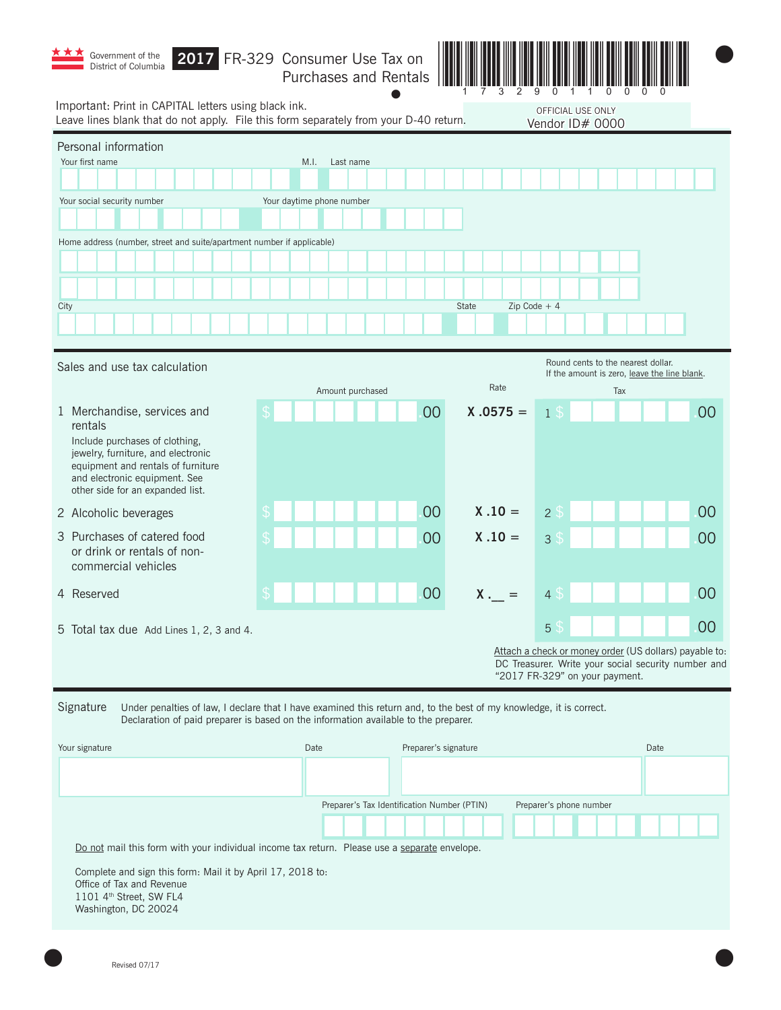| Government of the<br>District of Columbia                                                                                                                                                                               | 2017 FR-329 Consumer Use Tax on<br>Purchases and Rentals |                      |                        |                                      |                                                                                                               |    |  |  |
|-------------------------------------------------------------------------------------------------------------------------------------------------------------------------------------------------------------------------|----------------------------------------------------------|----------------------|------------------------|--------------------------------------|---------------------------------------------------------------------------------------------------------------|----|--|--|
| Important: Print in CAPITAL letters using black ink.<br>Leave lines blank that do not apply. File this form separately from your D-40 return.                                                                           |                                                          |                      |                        | OFFICIAL USE ONLY<br>Vendor ID# 0000 |                                                                                                               |    |  |  |
| Personal information<br>Your first name                                                                                                                                                                                 | M.I.<br>Last name                                        |                      |                        |                                      |                                                                                                               |    |  |  |
| Your social security number                                                                                                                                                                                             | Your daytime phone number                                |                      |                        |                                      |                                                                                                               |    |  |  |
| Home address (number, street and suite/apartment number if applicable)                                                                                                                                                  |                                                          |                      |                        |                                      |                                                                                                               |    |  |  |
|                                                                                                                                                                                                                         |                                                          |                      |                        |                                      |                                                                                                               |    |  |  |
|                                                                                                                                                                                                                         |                                                          |                      |                        |                                      |                                                                                                               |    |  |  |
| City                                                                                                                                                                                                                    |                                                          |                      | Zip Code $+4$<br>State |                                      |                                                                                                               |    |  |  |
|                                                                                                                                                                                                                         |                                                          |                      |                        |                                      |                                                                                                               |    |  |  |
| Sales and use tax calculation                                                                                                                                                                                           |                                                          |                      |                        |                                      | Round cents to the nearest dollar.<br>If the amount is zero, leave the line blank.                            |    |  |  |
|                                                                                                                                                                                                                         | Amount purchased                                         |                      | Rate                   |                                      | Tax                                                                                                           |    |  |  |
| 1 Merchandise, services and<br>rentals                                                                                                                                                                                  |                                                          | 00                   | $X .0575 =$            | <b>1</b> \$                          |                                                                                                               | 00 |  |  |
| Include purchases of clothing,<br>jewelry, furniture, and electronic<br>equipment and rentals of furniture<br>and electronic equipment. See<br>other side for an expanded list.                                         |                                                          |                      |                        |                                      |                                                                                                               |    |  |  |
| 2 Alcoholic beverages                                                                                                                                                                                                   |                                                          | 00                   | $X .10 =$              | 2 <sub>5</sub>                       |                                                                                                               | 00 |  |  |
| 3 Purchases of catered food<br>or drink or rentals of non-<br>commercial vehicles                                                                                                                                       |                                                          | 00                   | $X .10 =$              | 3 <sup>°</sup>                       |                                                                                                               | 00 |  |  |
| 4 Reserved                                                                                                                                                                                                              |                                                          | 00                   | X.                     | $\Lambda$                            |                                                                                                               | 00 |  |  |
| 5 Total tax due Add Lines 1, 2, 3 and 4.                                                                                                                                                                                |                                                          |                      |                        | 5S                                   |                                                                                                               | 00 |  |  |
|                                                                                                                                                                                                                         |                                                          |                      |                        | "2017 FR-329" on your payment.       | Attach a check or money order (US dollars) payable to:<br>DC Treasurer. Write your social security number and |    |  |  |
| Signature<br>Under penalties of law, I declare that I have examined this return and, to the best of my knowledge, it is correct.<br>Declaration of paid preparer is based on the information available to the preparer. |                                                          |                      |                        |                                      |                                                                                                               |    |  |  |
| Your signature                                                                                                                                                                                                          | Date                                                     | Preparer's signature |                        |                                      | Date                                                                                                          |    |  |  |

| Your signature                                                                                                                             | Date | Preparer's signature                        |                         | Date |
|--------------------------------------------------------------------------------------------------------------------------------------------|------|---------------------------------------------|-------------------------|------|
|                                                                                                                                            |      |                                             |                         |      |
|                                                                                                                                            |      | Preparer's Tax Identification Number (PTIN) | Preparer's phone number |      |
|                                                                                                                                            |      |                                             |                         |      |
| Do not mail this form with your individual income tax return. Please use a separate envelope.                                              |      |                                             |                         |      |
| Complete and sign this form: Mail it by April 17, 2018 to:<br>Office of Tax and Revenue<br>1101 4th Street, SW FL4<br>Washington, DC 20024 |      |                                             |                         |      |